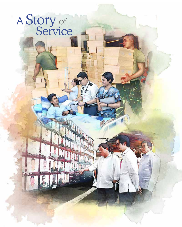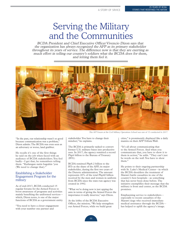## Serving the Military and the Communities

BCDA President and Chief Executive Officer Vivencio Dizon says that the organization has always recognized the AFP as its primary stakeholder throughout its years of service. The difference now is that they are exerting as much effort in telling our country's soldiers what the BCDA does for them, and letting them feel it.



"In the past, our relationship wasn't so good because communication was a problem," Dizon admits. The BCDA was even seen as an adversary or worse, land grabber.

He recalls it's one of the first things he said on the job when faced with an audience of BCDA stakeholders. You feel badly—I get that, he remembers telling them. "Kailangan natin baguhin 'yon (We need to change that)."

## Establishing a Stakeholder Engagement Program for the military

As of end-2017, BCDA conducted 15 regular forums for the Armed Forces to boost awareness of programs and activities mainly benefiting the uniformed services which, Dizon notes, is one of the major functions of BCDA as a government entity.

"You need to have a closer engagement with your number one partner and

*This AFP Forum at the Civil Military Operations School was one of 15 conducted in 2017.*

stakeholder. You have to change their mindset," he explains.

The BCDA is primarily tasked to convert former U.S. military bases into productive uses. In 2017, the agency remitted a record Php6 billion to the Bureau of Treasury (BTr).

BCDA remitted Php8.2 billion to the BTr as the share of the AFP, its major stakeholder, during the first two years of the Duterte administration. The amount represents 20% of the total Php40 billion received by the men and women in uniform from BCDA since the state-run agency was created in 1992.

"What we're doing now is just upping the ante in terms of giving the Armed Forces the importance it really deserves," says Dizon.

At the lobby of the BCDA Executive Offices, the mission, "We help strengthen our Armed Forces, while we build great

cities," is prominently displayed like a daily mantra on their AFP Tribute Wall.

"It's all about communicating that to the Armed Forces. And when you communicate that, you have to show it to them in action," he adds. "They can't just be words on the wall. You have to show them."

He points to their ongoing partnership with St. Luke's Medical Center—in which the BCDA shoulders the treatment of Marawi battle casualties in one of the country's best hospitals—as something that has never been done before. The initiative exemplifies their message that the military is front and center, as the BCDA promises.

Emphasizing service to stakeholders especially to recent casualties of the Marawi siege who received immediate medical assistance through the BCDA has helped to uplift the agency's image.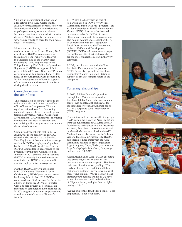"We are an organization that has soul," adds retired Brig. Gen. Carlos Quita, BCDA vice president for corporate services. He considers the BCDA's contributions to go beyond money or modernization. Income generation is balanced with service delivery. "We help dignify the soldiers. In a way, we pay tribute to them for their heroic deeds," he explains.

More than contributing to the modernization of the Armed Forces, 2017 also showed BCDA's genuine care for the military troops who were deployed in Mindanao due to the Marawi siege by donating 2,000 hygiene kits to the Philippine Army Civil Military Operations Regiment (CMOR) in support of their project dubbed "Project Shoebox." Personal care supplies with individual hand-written notes of encouragement were prepared by BCDA employees and officers in support of our brave men and women in uniform during the time of war.

## Caring for women in the labor force

The organization doesn't just cater to the military but also looks after the welfare of its officers and employees. There is equal attention devoted to developing technical capacity through workshops and training activities, as well as Gender and Development (GAD) initiatives—including orientations on sexual harassment and customizing office designs to accommodate the needs of mothers.

Quita proudly highlights that in 2017, BCDA was more proactive in its GADrelated initiatives, such as the Serbisyo Para Kay Juana: A 30-minute free massage session for BCDA employees. Organized by the BCDA GAD Focal Point System (GFPS) Committee in accordance to the program of Philippine Commission on Women (PCW), persons with disabilities (PWDs) or visually impaired masseuses were invited to BCDA's corporate office to give its employees free massage service.

Further, BCDA actively participated in PCW's National Women's Month Celebration (NWMC)—an annual event held every March. For 2017, BCDA conducted a medical mission for the senior citizens of Barangay O'Donell in Tarlac City. The said activity also served as an information campaign to help promote the PCW's program on women empowerment as well as the celebration of Women's Month.

BCDA also held activities as part of its participation in PCW's "VAW-Free Community Starts with Me" program—an 18-day Campaign to End Violence Against Women (VAW). A series of anti-sexual harassment talks for BCDA directors, officers, and rank-and-file employees was also held in August and December 2017. In coordination with the Taguig City Local Government and the Department of Social Welfare and Development (DSWD), BCDA held an outreach project for the Taguig City street children who are the most vulnerable sector in the VAW campaign.

BCDA, in collaboration with the Fort Bonifacio Development Corporation (FBDC), has also opened the Bonifacio Technology Center Lactation Station in support of breastfeeding mothers in the workplace.

## Fostering relationships

In 2017, Jollibee Foods Corporation, through its 1,000th store located in Bonifacio Global City—a former military camp—has donated gift certificates for the stakeholders of BCDA in support of BCDA's corporate social responsibility (CSR) programs.

The military and the project-affected people (PAP) within the vicinity of New Clark City were the beneficiaries of CSR initiatives. A food sharing activity was held on December 15, 2017, for at least 100 soldiers wounded in Marawi who were confined in the AFP Medical Center, also known as the V. Luna General Hospital, in Quezon City. BCDA also shared Jollibee treats with the Aeta community residing in Sitio Tangkilan in Brgy. Aranguen, Capas, Tarlac, and those in Brgy. Madapdap in Mabalacat, Pampanga on December 19, 2017.

Aileen Anunciacion Zosa, BCDA executive vice president, asserts that for BCDA, purpose is as important as profit. She likens their new direction to storytelling. "The roads, utilities, New Clark City, all these that we are building—why are we doing all these?" she explains. "We're not just doing infrastructure because we like it. We have a new city because it will make the lives of Filipinos better, and give them a higher quality of life."

"At the end of the day, it's for people," Zosa emphasizes. "That's our story."